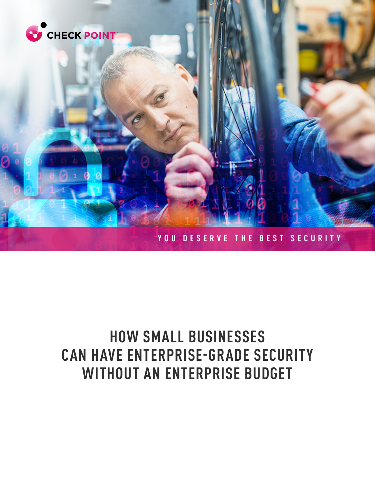

# **HOW SMALL BUSINESSES CAN HAVE ENTERPRISE-GRADE SECURITY WITHOUT AN ENTERPRISE BUDGET**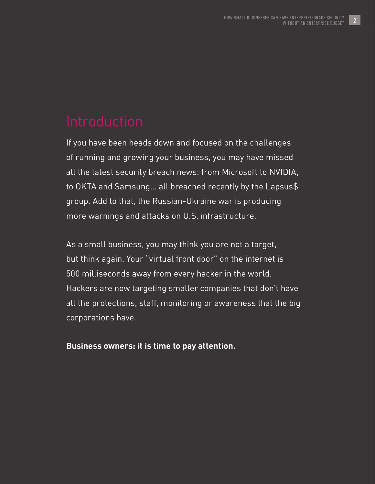If you have been heads down and focused on the challenges of running and growing your business, you may have missed all the latest security breach news: from Microsoft to NVIDIA, to OKTA and Samsung… all breached recently by the Lapsus\$ group. Add to that, the Russian-Ukraine war is producing more warnings and attacks on U.S. infrastructure.

As a small business, you may think you are not a target, but think again. Your "virtual front door" on the internet is 500 milliseconds away from every hacker in the world. Hackers are now targeting smaller companies that don't have all the protections, staff, monitoring or awareness that the big corporations have.

### **Business owners: it is time to pay attention.**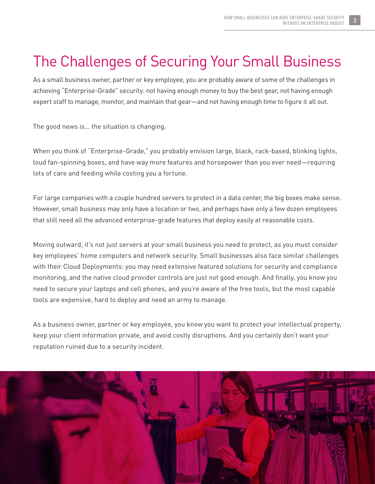# The Challenges of Securing Your Small Business

As a small business owner, partner or key employee, you are probably aware of some of the challenges in achieving "Enterprise-Grade" security: not having enough money to buy the best gear, not having enough expert staff to manage, monitor, and maintain that gear—and not having enough time to figure it all out.

The good news is… the situation is changing.

When you think of "Enterprise-Grade," you probably envision large, black, rack-based, blinking lights, loud fan-spinning boxes, and have way more features and horsepower than you ever need—requiring lots of care and feeding while costing you a fortune.

For large companies with a couple hundred servers to protect in a data center, the big boxes make sense. However, small business may only have a location or two, and perhaps have only a few dozen employees that still need all the advanced enterprise-grade features that deploy easily at reasonable costs.

Moving outward, it's not just servers at your small business you need to protect, as you must consider key employees' home computers and network security. Small businesses also face similar challenges with their Cloud Deployments: you may need extensive featured solutions for security and compliance monitoring, and the native cloud provider controls are just not good enough. And finally, you know you need to secure your laptops and cell phones, and you're aware of the free tools, but the most capable tools are expensive, hard to deploy and need an army to manage.

As a business owner, partner or key employee, you know you want to protect your intellectual property, keep your client information private, and avoid costly disruptions. And you certainly don't want your reputation ruined due to a security incident.

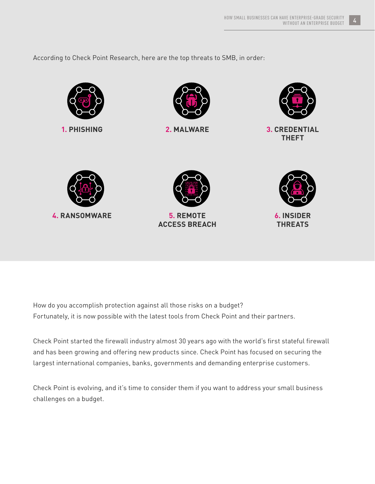According to Check Point Research, here are the top threats to SMB, in order:







**1. PHISHING 2. MALWARE 3. CREDENTIAL THEFT**







How do you accomplish protection against all those risks on a budget? Fortunately, it is now possible with the latest tools from Check Point and their partners.

Check Point started the firewall industry almost 30 years ago with the world's first stateful firewall and has been growing and offering new products since. Check Point has focused on securing the largest international companies, banks, governments and demanding enterprise customers.

Check Point is evolving, and it's time to consider them if you want to address your small business challenges on a budget.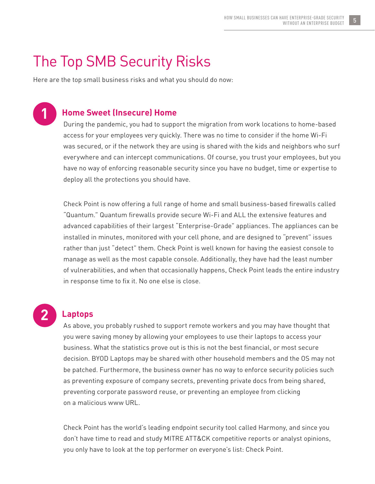## The Top SMB Security Risks

Here are the top small business risks and what you should do now:

# **1**

### **Home Sweet (Insecure) Home**

During the pandemic, you had to support the migration from work locations to home-based access for your employees very quickly. There was no time to consider if the home Wi-Fi was secured, or if the network they are using is shared with the kids and neighbors who surf everywhere and can intercept communications. Of course, you trust your employees, but you have no way of enforcing reasonable security since you have no budget, time or expertise to deploy all the protections you should have.

Check Point is now offering a full range of home and small business-based firewalls called "Quantum." Quantum firewalls provide secure Wi-Fi and ALL the extensive features and advanced capabilities of their largest "Enterprise-Grade" appliances. The appliances can be installed in minutes, monitored with your cell phone, and are designed to "prevent" issues rather than just "detect" them. Check Point is well known for having the easiest console to manage as well as the most capable console. Additionally, they have had the least number of vulnerabilities, and when that occasionally happens, Check Point leads the entire industry in response time to fix it. No one else is close.

# **2**

### **Laptops**

As above, you probably rushed to support remote workers and you may have thought that you were saving money by allowing your employees to use their laptops to access your business. What the statistics prove out is this is not the best financial, or most secure decision. BYOD Laptops may be shared with other household members and the OS may not be patched. Furthermore, the business owner has no way to enforce security policies such as preventing exposure of company secrets, preventing private docs from being shared, preventing corporate password reuse, or preventing an employee from clicking on a malicious www URL.

Check Point has the world's leading endpoint security tool called Harmony, and since you don't have time to read and study MITRE ATT&CK competitive reports or analyst opinions, you only have to look at the top performer on everyone's list: Check Point.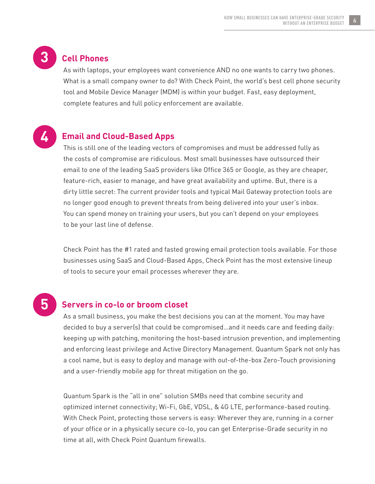

### **Cell Phones**

As with laptops, your employees want convenience AND no one wants to carry two phones. What is a small company owner to do? With Check Point, the world's best cell phone security tool and Mobile Device Manager (MDM) is within your budget. Fast, easy deployment, complete features and full policy enforcement are available.



#### **Email and Cloud-Based Apps**

This is still one of the leading vectors of compromises and must be addressed fully as the costs of compromise are ridiculous. Most small businesses have outsourced their email to one of the leading SaaS providers like Office 365 or Google, as they are cheaper, feature-rich, easier to manage, and have great availability and uptime. But, there is a dirty little secret: The current provider tools and typical Mail Gateway protection tools are no longer good enough to prevent threats from being delivered into your user's inbox. You can spend money on training your users, but you can't depend on your employees to be your last line of defense.

Check Point has the #1 rated and fasted growing email protection tools available. For those businesses using SaaS and Cloud-Based Apps, Check Point has the most extensive lineup of tools to secure your email processes wherever they are.

# **5**

#### **Servers in co-lo or broom closet**

As a small business, you make the best decisions you can at the moment. You may have decided to buy a server(s) that could be compromised…and it needs care and feeding daily: keeping up with patching, monitoring the host-based intrusion prevention, and implementing and enforcing least privilege and Active Directory Management. Quantum Spark not only has a cool name, but is easy to deploy and manage with out-of-the-box Zero-Touch provisioning and a user-friendly mobile app for threat mitigation on the go.

Quantum Spark is the "all in one" solution SMBs need that combine security and optimized internet connectivity; Wi-Fi, GbE, VDSL, & 4G LTE, performance-based routing. With Check Point, protecting those servers is easy: Wherever they are, running in a corner of your office or in a physically secure co-lo, you can get Enterprise-Grade security in no time at all, with Check Point Quantum firewalls.